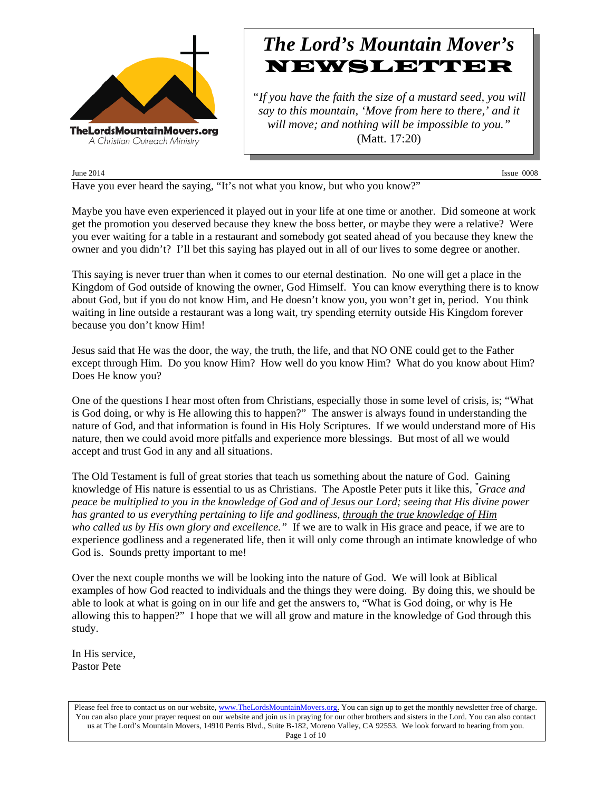

# *The Lord's Mountain Mover's* NEWSLETTER

*"If you have the faith the size of a mustard seed, you will say to this mountain, 'Move from here to there,' and it will move; and nothing will be impossible to you."* (Matt. 17:20)

June 2014 Issue 0008

Have you ever heard the saying, "It's not what you know, but who you know?"

Maybe you have even experienced it played out in your life at one time or another. Did someone at work get the promotion you deserved because they knew the boss better, or maybe they were a relative? Were you ever waiting for a table in a restaurant and somebody got seated ahead of you because they knew the owner and you didn't? I'll bet this saying has played out in all of our lives to some degree or another.

This saying is never truer than when it comes to our eternal destination. No one will get a place in the Kingdom of God outside of knowing the owner, God Himself. You can know everything there is to know about God, but if you do not know Him, and He doesn't know you, you won't get in, period. You think waiting in line outside a restaurant was a long wait, try spending eternity outside His Kingdom forever because you don't know Him!

Jesus said that He was the door, the way, the truth, the life, and that NO ONE could get to the Father except through Him. Do you know Him? How well do you know Him? What do you know about Him? Does He know you?

One of the questions I hear most often from Christians, especially those in some level of crisis, is; "What is God doing, or why is He allowing this to happen?" The answer is always found in understanding the nature of God, and that information is found in His Holy Scriptures. If we would understand more of His nature, then we could avoid more pitfalls and experience more blessings. But most of all we would accept and trust God in any and all situations.

The Old Testament is full of great stories that teach us something about the nature of God. Gaining knowledge of His nature is essential to us as Christians. The Apostle Peter puts it like this, *" Grace and peace be multiplied to you in the knowledge of God and of Jesus our Lord; seeing that His divine power has granted to us everything pertaining to life and godliness, through the true knowledge of Him who called us by His own glory and excellence."* If we are to walk in His grace and peace, if we are to experience godliness and a regenerated life, then it will only come through an intimate knowledge of who God is. Sounds pretty important to me!

Over the next couple months we will be looking into the nature of God. We will look at Biblical examples of how God reacted to individuals and the things they were doing. By doing this, we should be able to look at what is going on in our life and get the answers to, "What is God doing, or why is He allowing this to happen?" I hope that we will all grow and mature in the knowledge of God through this study.

In His service, Pastor Pete

Please feel free to contact us on our website, www.TheLordsMountainMovers.org. You can sign up to get the monthly newsletter free of charge. You can also place your prayer request on our website and join us in praying for our other brothers and sisters in the Lord. You can also contact us at The Lord's Mountain Movers, 14910 Perris Blvd., Suite B-182, Moreno Valley, CA 92553. We look forward to hearing from you. Page 1 of 10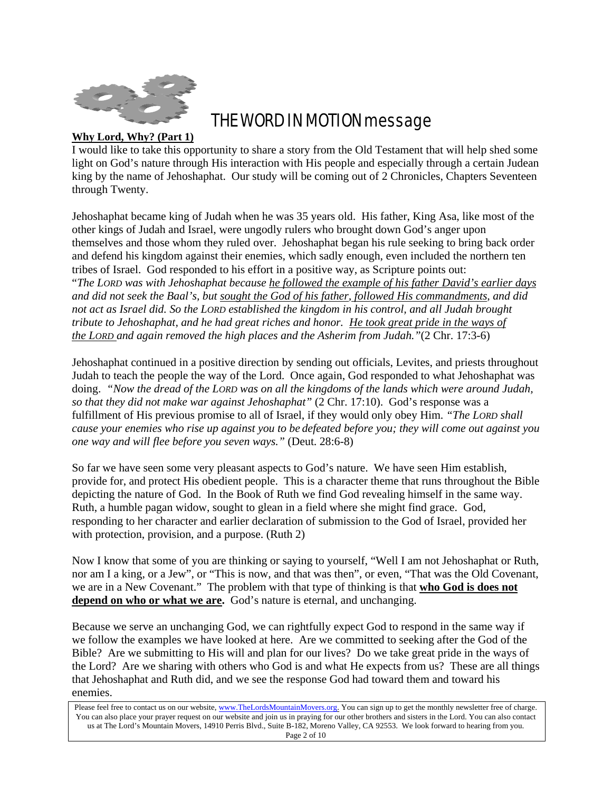

# THE WORD IN MOTION message

# **Why Lord, Why? (Part 1)**

I would like to take this opportunity to share a story from the Old Testament that will help shed some light on God's nature through His interaction with His people and especially through a certain Judean king by the name of Jehoshaphat. Our study will be coming out of 2 Chronicles, Chapters Seventeen through Twenty.

Jehoshaphat became king of Judah when he was 35 years old. His father, King Asa, like most of the other kings of Judah and Israel, were ungodly rulers who brought down God's anger upon themselves and those whom they ruled over. Jehoshaphat began his rule seeking to bring back order and defend his kingdom against their enemies, which sadly enough, even included the northern ten tribes of Israel. God responded to his effort in a positive way, as Scripture points out: "*The LORD was with Jehoshaphat because he followed the example of his father David's earlier days and did not seek the Baal's, but sought the God of his father, followed His commandments, and did not act as Israel did. So the LORD established the kingdom in his control, and all Judah brought tribute to Jehoshaphat, and he had great riches and honor. He took great pride in the ways of the LORD and again removed the high places and the Asherim from Judah."*(2 Chr. 17:3-6)

Jehoshaphat continued in a positive direction by sending out officials, Levites, and priests throughout Judah to teach the people the way of the Lord. Once again, God responded to what Jehoshaphat was doing. *"Now the dread of the LORD was on all the kingdoms of the lands which were around Judah, so that they did not make war against Jehoshaphat"* (2 Chr. 17:10). God's response was a fulfillment of His previous promise to all of Israel, if they would only obey Him. *"The LORD shall cause your enemies who rise up against you to be defeated before you; they will come out against you one way and will flee before you seven ways."* (Deut. 28:6-8)

So far we have seen some very pleasant aspects to God's nature. We have seen Him establish, provide for, and protect His obedient people. This is a character theme that runs throughout the Bible depicting the nature of God. In the Book of Ruth we find God revealing himself in the same way. Ruth, a humble pagan widow, sought to glean in a field where she might find grace. God, responding to her character and earlier declaration of submission to the God of Israel, provided her with protection, provision, and a purpose. (Ruth 2)

Now I know that some of you are thinking or saying to yourself, "Well I am not Jehoshaphat or Ruth, nor am I a king, or a Jew", or "This is now, and that was then", or even, "That was the Old Covenant, we are in a New Covenant." The problem with that type of thinking is that **who God is does not depend on who or what we are.** God's nature is eternal, and unchanging.

Because we serve an unchanging God, we can rightfully expect God to respond in the same way if we follow the examples we have looked at here. Are we committed to seeking after the God of the Bible? Are we submitting to His will and plan for our lives? Do we take great pride in the ways of the Lord? Are we sharing with others who God is and what He expects from us? These are all things that Jehoshaphat and Ruth did, and we see the response God had toward them and toward his enemies.

Please feel free to contact us on our website, www.TheLordsMountainMovers.org. You can sign up to get the monthly newsletter free of charge. You can also place your prayer request on our website and join us in praying for our other brothers and sisters in the Lord. You can also contact us at The Lord's Mountain Movers, 14910 Perris Blvd., Suite B-182, Moreno Valley, CA 92553. We look forward to hearing from you. Page 2 of 10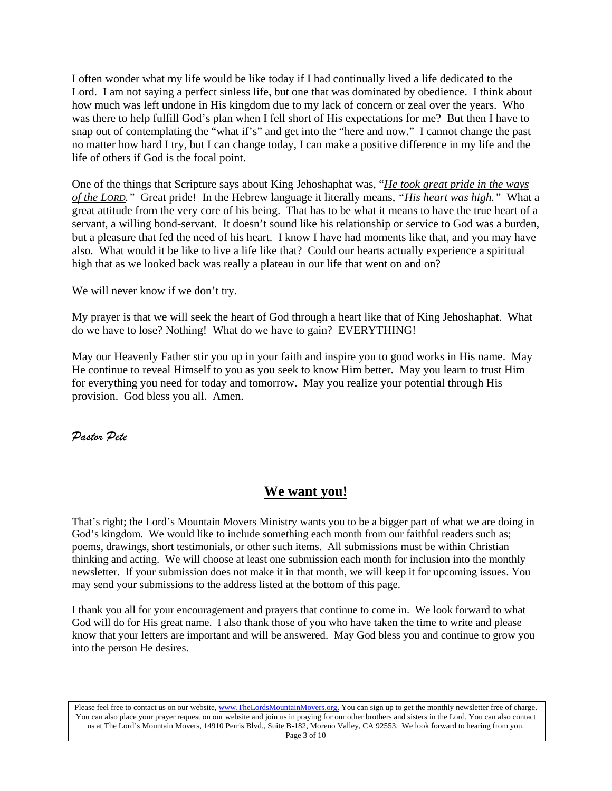I often wonder what my life would be like today if I had continually lived a life dedicated to the Lord. I am not saying a perfect sinless life, but one that was dominated by obedience. I think about how much was left undone in His kingdom due to my lack of concern or zeal over the years. Who was there to help fulfill God's plan when I fell short of His expectations for me? But then I have to snap out of contemplating the "what if's" and get into the "here and now." I cannot change the past no matter how hard I try, but I can change today, I can make a positive difference in my life and the life of others if God is the focal point.

One of the things that Scripture says about King Jehoshaphat was, "*He took great pride in the ways of the LORD."* Great pride! In the Hebrew language it literally means, *"His heart was high."* What a great attitude from the very core of his being. That has to be what it means to have the true heart of a servant, a willing bond-servant. It doesn't sound like his relationship or service to God was a burden, but a pleasure that fed the need of his heart. I know I have had moments like that, and you may have also. What would it be like to live a life like that? Could our hearts actually experience a spiritual high that as we looked back was really a plateau in our life that went on and on?

We will never know if we don't try.

My prayer is that we will seek the heart of God through a heart like that of King Jehoshaphat. What do we have to lose? Nothing! What do we have to gain? EVERYTHING!

May our Heavenly Father stir you up in your faith and inspire you to good works in His name. May He continue to reveal Himself to you as you seek to know Him better. May you learn to trust Him for everything you need for today and tomorrow. May you realize your potential through His provision. God bless you all. Amen.

*Pastor Pete*

# **We want you!**

That's right; the Lord's Mountain Movers Ministry wants you to be a bigger part of what we are doing in God's kingdom. We would like to include something each month from our faithful readers such as; poems, drawings, short testimonials, or other such items. All submissions must be within Christian thinking and acting. We will choose at least one submission each month for inclusion into the monthly newsletter. If your submission does not make it in that month, we will keep it for upcoming issues. You may send your submissions to the address listed at the bottom of this page.

I thank you all for your encouragement and prayers that continue to come in. We look forward to what God will do for His great name. I also thank those of you who have taken the time to write and please know that your letters are important and will be answered. May God bless you and continue to grow you into the person He desires.

Please feel free to contact us on our website, www.TheLordsMountainMovers.org. You can sign up to get the monthly newsletter free of charge. You can also place your prayer request on our website and join us in praying for our other brothers and sisters in the Lord. You can also contact us at The Lord's Mountain Movers, 14910 Perris Blvd., Suite B-182, Moreno Valley, CA 92553. We look forward to hearing from you. Page 3 of 10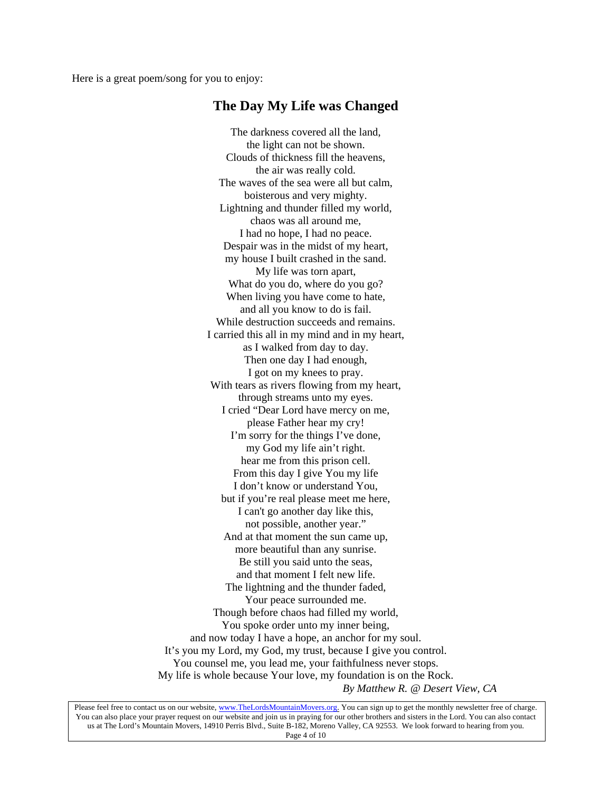Here is a great poem/song for you to enjoy:

# **The Day My Life was Changed**

The darkness covered all the land, the light can not be shown. Clouds of thickness fill the heavens, the air was really cold. The waves of the sea were all but calm, boisterous and very mighty. Lightning and thunder filled my world, chaos was all around me, I had no hope, I had no peace. Despair was in the midst of my heart, my house I built crashed in the sand. My life was torn apart, What do you do, where do you go? When living you have come to hate, and all you know to do is fail. While destruction succeeds and remains. I carried this all in my mind and in my heart, as I walked from day to day. Then one day I had enough, I got on my knees to pray. With tears as rivers flowing from my heart, through streams unto my eyes. I cried "Dear Lord have mercy on me, please Father hear my cry! I'm sorry for the things I've done, my God my life ain't right. hear me from this prison cell. From this day I give You my life I don't know or understand You, but if you're real please meet me here, I can't go another day like this, not possible, another year." And at that moment the sun came up, more beautiful than any sunrise. Be still you said unto the seas, and that moment I felt new life. The lightning and the thunder faded, Your peace surrounded me. Though before chaos had filled my world, You spoke order unto my inner being, and now today I have a hope, an anchor for my soul. It's you my Lord, my God, my trust, because I give you control. You counsel me, you lead me, your faithfulness never stops. My life is whole because Your love, my foundation is on the Rock. *By Matthew R. @ Desert View, CA*

Please feel free to contact us on our website, www.TheLordsMountainMovers.org. You can sign up to get the monthly newsletter free of charge. You can also place your prayer request on our website and join us in praying for our other brothers and sisters in the Lord. You can also contact us at The Lord's Mountain Movers, 14910 Perris Blvd., Suite B-182, Moreno Valley, CA 92553. We look forward to hearing from you. Page 4 of 10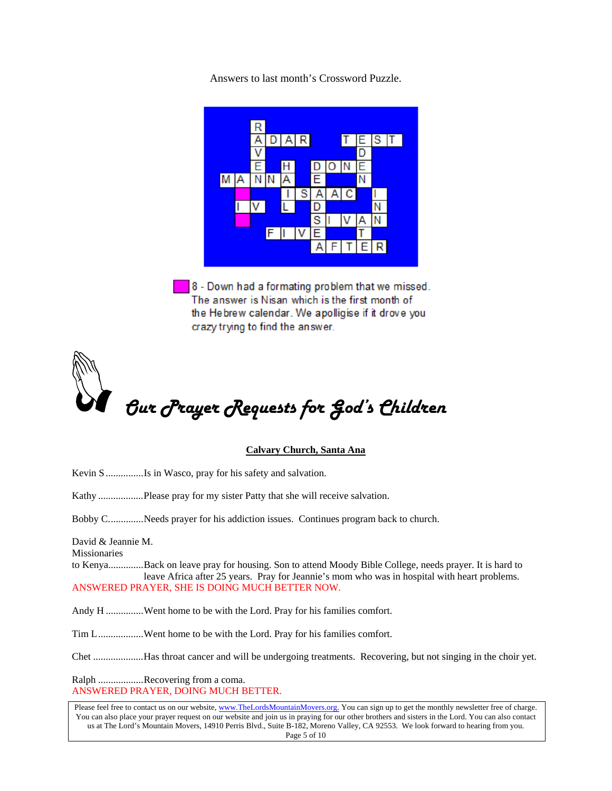Answers to last month's Crossword Puzzle.



8 - Down had a formating problem that we missed. The answer is Nisan which is the first month of the Hebrew calendar. We apolligise if it drove you crazy trying to find the answer.



# **Calvary Church, Santa Ana**

Kevin S ...............Is in Wasco, pray for his safety and salvation.

Kathy ..................Please pray for my sister Patty that she will receive salvation.

Bobby C..............Needs prayer for his addiction issues. Continues program back to church.

David & Jeannie M. Missionaries

to Kenya..............Back on leave pray for housing. Son to attend Moody Bible College, needs prayer. It is hard to leave Africa after 25 years. Pray for Jeannie's mom who was in hospital with heart problems. ANSWERED PRAYER, SHE IS DOING MUCH BETTER NOW.

Andy H ...............Went home to be with the Lord. Pray for his families comfort.

Tim L.................Went home to be with the Lord. Pray for his families comfort.

Chet ....................Has throat cancer and will be undergoing treatments. Recovering, but not singing in the choir yet.

Ralph ..................Recovering from a coma. ANSWERED PRAYER, DOING MUCH BETTER.

Please feel free to contact us on our website, www.TheLordsMountainMovers.org. You can sign up to get the monthly newsletter free of charge. You can also place your prayer request on our website and join us in praying for our other brothers and sisters in the Lord. You can also contact us at The Lord's Mountain Movers, 14910 Perris Blvd., Suite B-182, Moreno Valley, CA 92553. We look forward to hearing from you. Page 5 of 10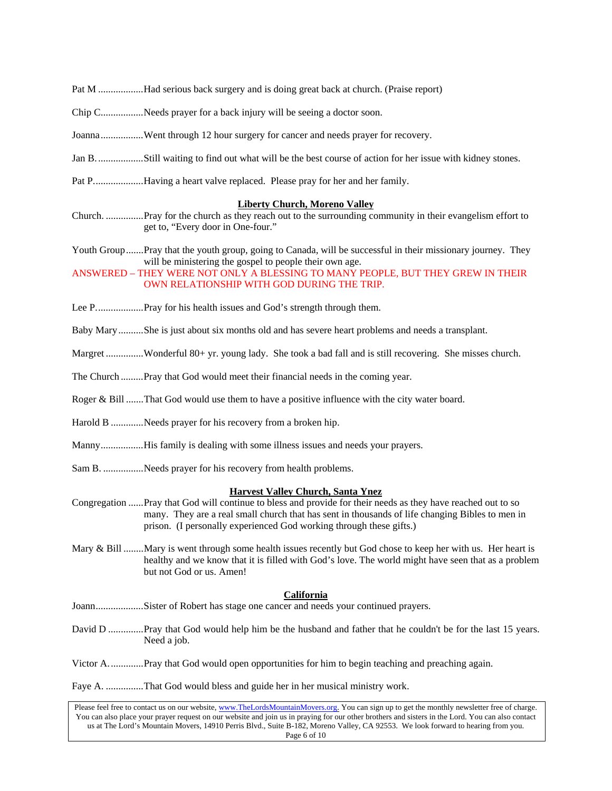- Pat M ..................Had serious back surgery and is doing great back at church. (Praise report)
- Chip C.................Needs prayer for a back injury will be seeing a doctor soon.
- Joanna.................Went through 12 hour surgery for cancer and needs prayer for recovery.
- Jan B...................Still waiting to find out what will be the best course of action for her issue with kidney stones.
- Pat P....................Having a heart valve replaced. Please pray for her and her family.

### **Liberty Church, Moreno Valley**

- Church. ...............Pray for the church as they reach out to the surrounding community in their evangelism effort to get to, "Every door in One-four."
- Youth Group.......Pray that the youth group, going to Canada, will be successful in their missionary journey. They will be ministering the gospel to people their own age.

## ANSWERED – THEY WERE NOT ONLY A BLESSING TO MANY PEOPLE, BUT THEY GREW IN THEIR OWN RELATIONSHIP WITH GOD DURING THE TRIP.

Lee P.......................Pray for his health issues and God's strength through them.

Baby Mary..........She is just about six months old and has severe heart problems and needs a transplant.

- Margret ...............Wonderful 80+ yr. young lady. She took a bad fall and is still recovering. She misses church.
- The Church .........Pray that God would meet their financial needs in the coming year.
- Roger & Bill .......That God would use them to have a positive influence with the city water board.
- Harold B .............Needs prayer for his recovery from a broken hip.
- Manny.................His family is dealing with some illness issues and needs your prayers.
- Sam B. ................Needs prayer for his recovery from health problems.

### **Harvest Valley Church, Santa Ynez**

- Congregation ......Pray that God will continue to bless and provide for their needs as they have reached out to so many. They are a real small church that has sent in thousands of life changing Bibles to men in prison. (I personally experienced God working through these gifts.)
- Mary & Bill ........Mary is went through some health issues recently but God chose to keep her with us. Her heart is healthy and we know that it is filled with God's love. The world might have seen that as a problem but not God or us. Amen!

## **California**

- Joann...................Sister of Robert has stage one cancer and needs your continued prayers.
- David D ..............Pray that God would help him be the husband and father that he couldn't be for the last 15 years. Need a job.

Victor A..............Pray that God would open opportunities for him to begin teaching and preaching again.

Faye A. ...............That God would bless and guide her in her musical ministry work.

Please feel free to contact us on our website, www.TheLordsMountainMovers.org. You can sign up to get the monthly newsletter free of charge. You can also place your prayer request on our website and join us in praying for our other brothers and sisters in the Lord. You can also contact us at The Lord's Mountain Movers, 14910 Perris Blvd., Suite B-182, Moreno Valley, CA 92553. We look forward to hearing from you. Page 6 of 10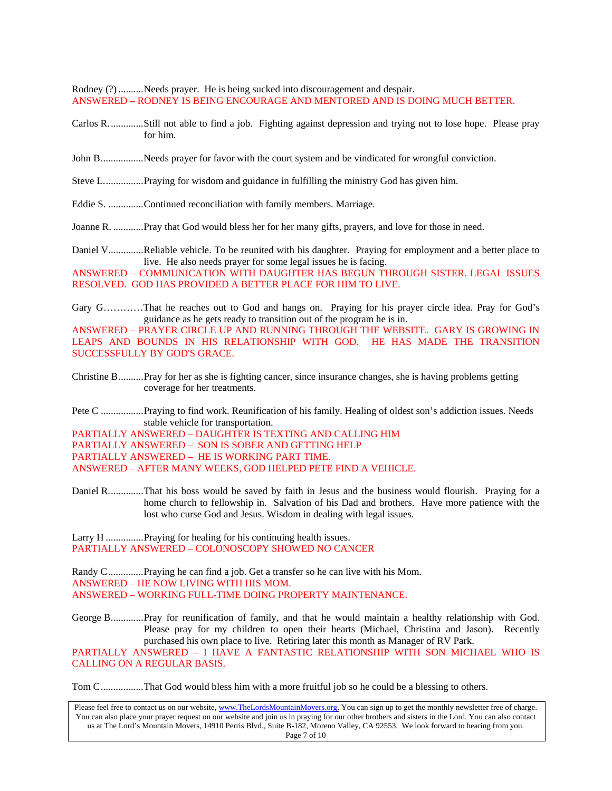Rodney (?) ..........Needs prayer. He is being sucked into discouragement and despair. ANSWERED – RODNEY IS BEING ENCOURAGE AND MENTORED AND IS DOING MUCH BETTER.

- Carlos R..............Still not able to find a job. Fighting against depression and trying not to lose hope. Please pray for him.
- John B..................Needs prayer for favor with the court system and be vindicated for wrongful conviction.
- Steve L................Praying for wisdom and guidance in fulfilling the ministry God has given him.
- Eddie S. ..............Continued reconciliation with family members. Marriage.
- Joanne R. ............Pray that God would bless her for her many gifts, prayers, and love for those in need.

Daniel V..............Reliable vehicle. To be reunited with his daughter. Praying for employment and a better place to live. He also needs prayer for some legal issues he is facing.

ANSWERED – COMMUNICATION WITH DAUGHTER HAS BEGUN THROUGH SISTER. LEGAL ISSUES RESOLVED. GOD HAS PROVIDED A BETTER PLACE FOR HIM TO LIVE.

Gary G…………That he reaches out to God and hangs on. Praying for his prayer circle idea. Pray for God's guidance as he gets ready to transition out of the program he is in.

ANSWERED – PRAYER CIRCLE UP AND RUNNING THROUGH THE WEBSITE. GARY IS GROWING IN LEAPS AND BOUNDS IN HIS RELATIONSHIP WITH GOD. HE HAS MADE THE TRANSITION SUCCESSFULLY BY GOD'S GRACE.

Christine B..........Pray for her as she is fighting cancer, since insurance changes, she is having problems getting coverage for her treatments.

Pete C .................Praying to find work. Reunification of his family. Healing of oldest son's addiction issues. Needs stable vehicle for transportation.

PARTIALLY ANSWERED – DAUGHTER IS TEXTING AND CALLING HIM PARTIALLY ANSWERED – SON IS SOBER AND GETTING HELP PARTIALLY ANSWERED – HE IS WORKING PART TIME. ANSWERED – AFTER MANY WEEKS, GOD HELPED PETE FIND A VEHICLE.

Daniel R..............That his boss would be saved by faith in Jesus and the business would flourish. Praying for a home church to fellowship in. Salvation of his Dad and brothers. Have more patience with the lost who curse God and Jesus. Wisdom in dealing with legal issues.

Larry H ...............Praying for healing for his continuing health issues. PARTIALLY ANSWERED – COLONOSCOPY SHOWED NO CANCER

Randy C..............Praying he can find a job. Get a transfer so he can live with his Mom. ANSWERED – HE NOW LIVING WITH HIS MOM. ANSWERED – WORKING FULL-TIME DOING PROPERTY MAINTENANCE.

George B.............Pray for reunification of family, and that he would maintain a healthy relationship with God. Please pray for my children to open their hearts (Michael, Christina and Jason). Recently purchased his own place to live. Retiring later this month as Manager of RV Park.

PARTIALLY ANSWERED – I HAVE A FANTASTIC RELATIONSHIP WITH SON MICHAEL WHO IS CALLING ON A REGULAR BASIS.

Tom C.................That God would bless him with a more fruitful job so he could be a blessing to others.

Please feel free to contact us on our website, www.TheLordsMountainMovers.org. You can sign up to get the monthly newsletter free of charge. You can also place your prayer request on our website and join us in praying for our other brothers and sisters in the Lord. You can also contact us at The Lord's Mountain Movers, 14910 Perris Blvd., Suite B-182, Moreno Valley, CA 92553. We look forward to hearing from you. Page 7 of 10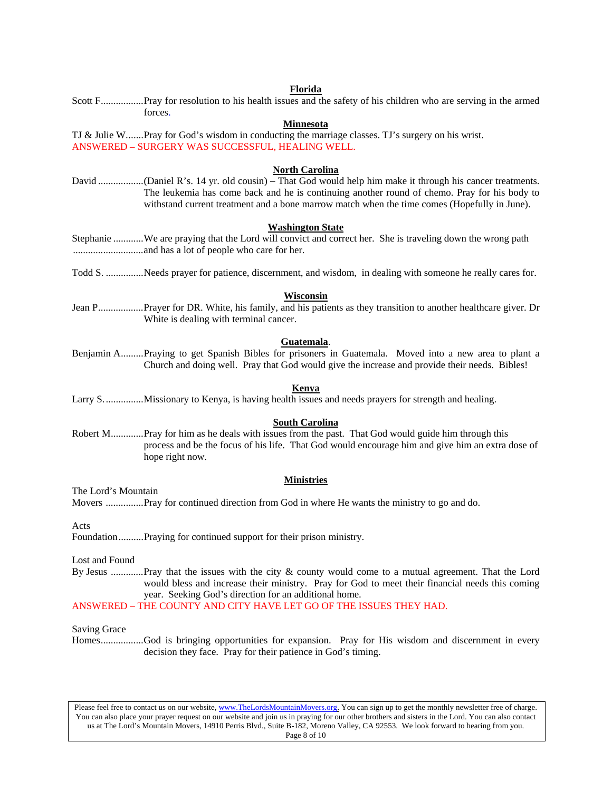#### **Florida** Scott F.................Pray for resolution to his health issues and the safety of his children who are serving in the armed

forces. **Minnesota** TJ & Julie W.......Pray for God's wisdom in conducting the marriage classes. TJ's surgery on his wrist. ANSWERED – SURGERY WAS SUCCESSFUL, HEALING WELL. **North Carolina** David ..................(Daniel R's. 14 yr. old cousin) – That God would help him make it through his cancer treatments. The leukemia has come back and he is continuing another round of chemo. Pray for his body to withstand current treatment and a bone marrow match when the time comes (Hopefully in June). **Washington State** Stephanie ............We are praying that the Lord will convict and correct her. She is traveling down the wrong path ............................and has a lot of people who care for her. Todd S. ...............Needs prayer for patience, discernment, and wisdom, in dealing with someone he really cares for. **Wisconsin** Jean P..................Prayer for DR. White, his family, and his patients as they transition to another healthcare giver. Dr White is dealing with terminal cancer. **Guatemala**. Benjamin A.........Praying to get Spanish Bibles for prisoners in Guatemala. Moved into a new area to plant a Church and doing well. Pray that God would give the increase and provide their needs. Bibles! **Kenya** Larry S................Missionary to Kenya, is having health issues and needs prayers for strength and healing. **South Carolina** Robert M.............Pray for him as he deals with issues from the past. That God would guide him through this process and be the focus of his life. That God would encourage him and give him an extra dose of hope right now. **Ministries** The Lord's Mountain Movers ...............Pray for continued direction from God in where He wants the ministry to go and do. Acts Foundation..........Praying for continued support for their prison ministry.

Lost and Found

By Jesus .............Pray that the issues with the city & county would come to a mutual agreement. That the Lord would bless and increase their ministry. Pray for God to meet their financial needs this coming year. Seeking God's direction for an additional home.

#### ANSWERED – THE COUNTY AND CITY HAVE LET GO OF THE ISSUES THEY HAD.

Saving Grace

Homes.................God is bringing opportunities for expansion. Pray for His wisdom and discernment in every decision they face. Pray for their patience in God's timing.

Please feel free to contact us on our website, www.TheLordsMountainMovers.org. You can sign up to get the monthly newsletter free of charge. You can also place your prayer request on our website and join us in praying for our other brothers and sisters in the Lord. You can also contact us at The Lord's Mountain Movers, 14910 Perris Blvd., Suite B-182, Moreno Valley, CA 92553. We look forward to hearing from you. Page 8 of 10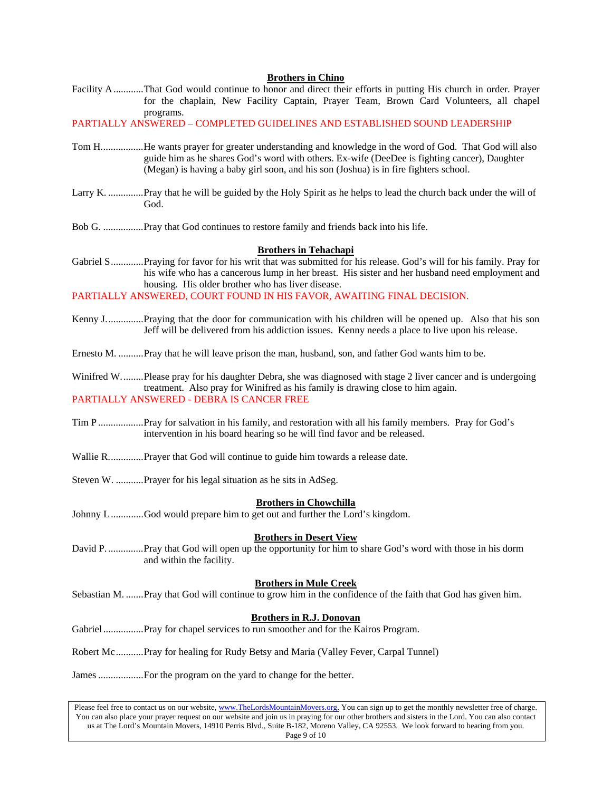## **Brothers in Chino**

Facility A............That God would continue to honor and direct their efforts in putting His church in order. Prayer for the chaplain, New Facility Captain, Prayer Team, Brown Card Volunteers, all chapel programs.

PARTIALLY ANSWERED – COMPLETED GUIDELINES AND ESTABLISHED SOUND LEADERSHIP

- Tom H.................He wants prayer for greater understanding and knowledge in the word of God. That God will also guide him as he shares God's word with others. Ex-wife (DeeDee is fighting cancer), Daughter (Megan) is having a baby girl soon, and his son (Joshua) is in fire fighters school.
- Larry K. ..............Pray that he will be guided by the Holy Spirit as he helps to lead the church back under the will of God.
- Bob G. ................Pray that God continues to restore family and friends back into his life.

#### **Brothers in Tehachapi**

Gabriel S.............Praying for favor for his writ that was submitted for his release. God's will for his family. Pray for his wife who has a cancerous lump in her breast. His sister and her husband need employment and housing. His older brother who has liver disease.

PARTIALLY ANSWERED, COURT FOUND IN HIS FAVOR, AWAITING FINAL DECISION.

- Kenny J...............Praying that the door for communication with his children will be opened up. Also that his son Jeff will be delivered from his addiction issues. Kenny needs a place to live upon his release.
- Ernesto M. ..........Pray that he will leave prison the man, husband, son, and father God wants him to be.

Winifred W.........Please pray for his daughter Debra, she was diagnosed with stage 2 liver cancer and is undergoing treatment. Also pray for Winifred as his family is drawing close to him again. PARTIALLY ANSWERED - DEBRA IS CANCER FREE

- Tim P ..................Pray for salvation in his family, and restoration with all his family members. Pray for God's intervention in his board hearing so he will find favor and be released.
- Wallie R..............Prayer that God will continue to guide him towards a release date.
- Steven W. ...........Prayer for his legal situation as he sits in AdSeg.

#### **Brothers in Chowchilla**

Johnny L .............God would prepare him to get out and further the Lord's kingdom.

#### **Brothers in Desert View**

David P. ..............Pray that God will open up the opportunity for him to share God's word with those in his dorm and within the facility.

#### **Brothers in Mule Creek**

Sebastian M. .......Pray that God will continue to grow him in the confidence of the faith that God has given him.

## **Brothers in R.J. Donovan**

Gabriel ...................Pray for chapel services to run smoother and for the Kairos Program.

Robert Mc...........Pray for healing for Rudy Betsy and Maria (Valley Fever, Carpal Tunnel)

James ..................For the program on the yard to change for the better.

Please feel free to contact us on our website, www.TheLordsMountainMovers.org. You can sign up to get the monthly newsletter free of charge. You can also place your prayer request on our website and join us in praying for our other brothers and sisters in the Lord. You can also contact us at The Lord's Mountain Movers, 14910 Perris Blvd., Suite B-182, Moreno Valley, CA 92553. We look forward to hearing from you. Page 9 of 10